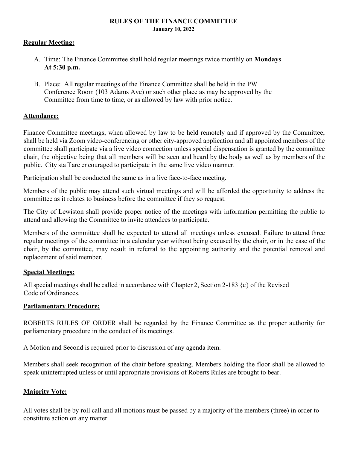#### **RULES OF THE FINANCE COMMITTEE January 10, 2022**

### **Regular Meeting:**

- A. Time: The Finance Committee shall hold regular meetings twice monthly on **Mondays At 5:30 p.m.**
- B. Place: All regular meetings of the Finance Committee shall be held in the PW Conference Room (103 Adams Ave) or such other place as may be approved by the Committee from time to time, or as allowed by law with prior notice.

### **Attendance:**

Finance Committee meetings, when allowed by law to be held remotely and if approved by the Committee, shall be held via Zoom video-conferencing or other city-approved application and all appointed members of the committee shall participate via a live video connection unless special dispensation is granted by the committee chair, the objective being that all members will be seen and heard by the body as well as by members of the public. City staff are encouraged to participate in the same live video manner.

Participation shall be conducted the same as in a live face-to-face meeting.

Members of the public may attend such virtual meetings and will be afforded the opportunity to address the committee as it relates to business before the committee if they so request.

The City of Lewiston shall provide proper notice of the meetings with information permitting the public to attend and allowing the Committee to invite attendees to participate.

Members of the committee shall be expected to attend all meetings unless excused. Failure to attend three regular meetings of the committee in a calendar year without being excused by the chair, or in the case of the chair, by the committee, may result in referral to the appointing authority and the potential removal and replacement of said member.

### **Special Meetings:**

All special meetings shall be called in accordance with Chapter 2, Section 2-183 {c} of the Revised Code of Ordinances.

## **Parliamentary Procedure:**

ROBERTS RULES OF ORDER shall be regarded by the Finance Committee as the proper authority for parliamentary procedure in the conduct of its meetings.

A Motion and Second is required prior to discussion of any agenda item.

Members shall seek recognition of the chair before speaking. Members holding the floor shall be allowed to speak uninterrupted unless or until appropriate provisions of Roberts Rules are brought to bear.

## **Majority Vote:**

All votes shall be by roll call and all motions must be passed by a majority of the members (three) in order to constitute action on any matter.